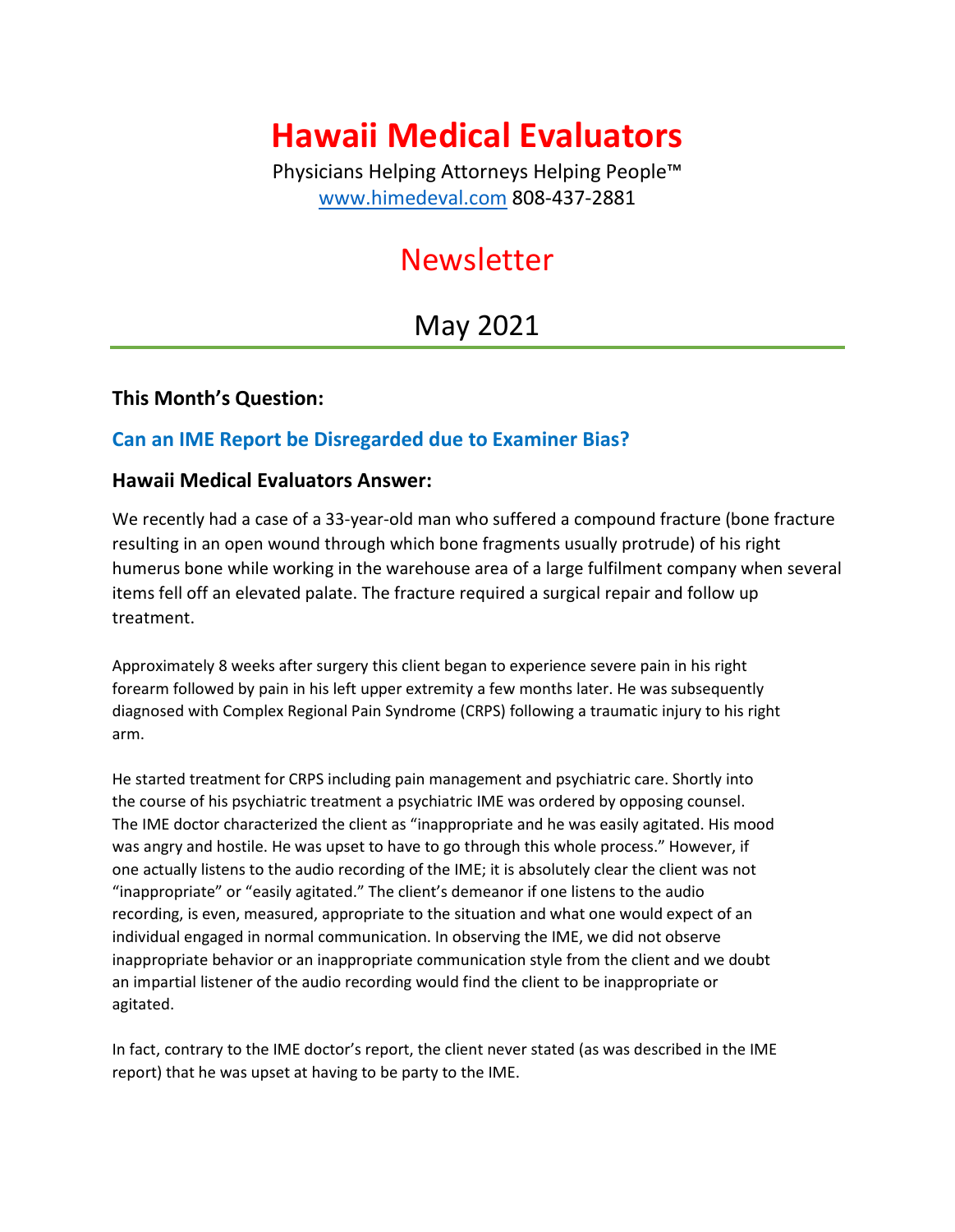# **Hawaii Medical Evaluators**

Physicians Helping Attorneys Helping People™ [www.himedeval.com](http://www.himedeval.com/) 808-437-2881

## Newsletter

### May 2021

### **This Month's Question:**

### **Can an IME Report be Disregarded due to Examiner Bias?**

#### **Hawaii Medical Evaluators Answer:**

We recently had a case of a 33-year-old man who suffered a compound fracture (bone fracture resulting in an open wound through which bone fragments usually protrude) of his right humerus bone while working in the warehouse area of a large fulfilment company when several items fell off an elevated palate. The fracture required a surgical repair and follow up treatment.

Approximately 8 weeks after surgery this client began to experience severe pain in his right forearm followed by pain in his left upper extremity a few months later. He was subsequently diagnosed with Complex Regional Pain Syndrome (CRPS) following a traumatic injury to his right arm.

He started treatment for CRPS including pain management and psychiatric care. Shortly into the course of his psychiatric treatment a psychiatric IME was ordered by opposing counsel. The IME doctor characterized the client as "inappropriate and he was easily agitated. His mood was angry and hostile. He was upset to have to go through this whole process." However, if one actually listens to the audio recording of the IME; it is absolutely clear the client was not "inappropriate" or "easily agitated." The client's demeanor if one listens to the audio recording, is even, measured, appropriate to the situation and what one would expect of an individual engaged in normal communication. In observing the IME, we did not observe inappropriate behavior or an inappropriate communication style from the client and we doubt an impartial listener of the audio recording would find the client to be inappropriate or agitated.

In fact, contrary to the IME doctor's report, the client never stated (as was described in the IME report) that he was upset at having to be party to the IME.